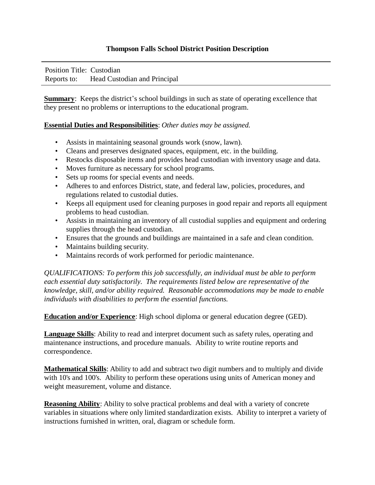## **Thompson Falls School District Position Description**

Position Title: Custodian Reports to: Head Custodian and Principal

**Summary:** Keeps the district's school buildings in such as state of operating excellence that they present no problems or interruptions to the educational program.

## **Essential Duties and Responsibilities**: *Other duties may be assigned.*

- Assists in maintaining seasonal grounds work (snow, lawn).
- Cleans and preserves designated spaces, equipment, etc. in the building.
- Restocks disposable items and provides head custodian with inventory usage and data.
- Moves furniture as necessary for school programs.
- Sets up rooms for special events and needs.
- Adheres to and enforces District, state, and federal law, policies, procedures, and regulations related to custodial duties.
- Keeps all equipment used for cleaning purposes in good repair and reports all equipment problems to head custodian.
- Assists in maintaining an inventory of all custodial supplies and equipment and ordering supplies through the head custodian.
- Ensures that the grounds and buildings are maintained in a safe and clean condition.
- Maintains building security.
- Maintains records of work performed for periodic maintenance.

*QUALIFICATIONS: To perform this job successfully, an individual must be able to perform each essential duty satisfactorily. The requirements listed below are representative of the knowledge, skill, and/or ability required. Reasonable accommodations may be made to enable individuals with disabilities to perform the essential functions.* 

**Education and/or Experience**: High school diploma or general education degree (GED).

**Language Skills**: Ability to read and interpret document such as safety rules, operating and maintenance instructions, and procedure manuals. Ability to write routine reports and correspondence.

**Mathematical Skills**: Ability to add and subtract two digit numbers and to multiply and divide with 10's and 100's. Ability to perform these operations using units of American money and weight measurement, volume and distance.

**Reasoning Ability**: Ability to solve practical problems and deal with a variety of concrete variables in situations where only limited standardization exists. Ability to interpret a variety of instructions furnished in written, oral, diagram or schedule form.